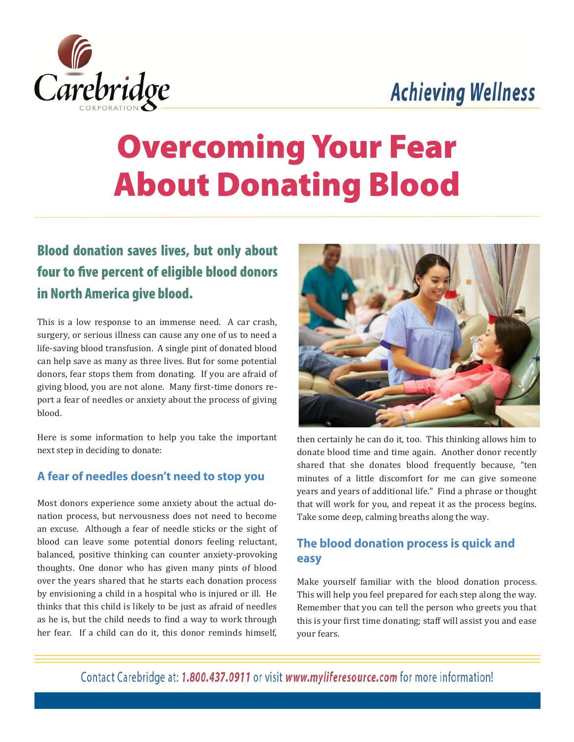## **Achieving Wellness**



# **Overcoming Your Fear About Donating Blood**

### **Blood donation saves lives, but only about** four to five percent of eligible blood donors in North America give blood.

This is a low response to an immense need. A car crash, surgery, or serious illness can cause any one of us to need a life-saving blood transfusion. A single pint of donated blood can help save as many as three lives. But for some potential donors, fear stops them from donating. If you are afraid of giving blood, you are not alone. Many first-time donors report a fear of needles or anxiety about the process of giving blood.

Here is some information to help you take the important next step in deciding to donate:

#### A fear of needles doesn't need to stop you

Most donors experience some anxiety about the actual donation process, but nervousness does not need to become an excuse. Although a fear of needle sticks or the sight of blood can leave some potential donors feeling reluctant, balanced, positive thinking can counter anxiety-provoking thoughts. One donor who has given many pints of blood over the years shared that he starts each donation process by envisioning a child in a hospital who is injured or ill. He thinks that this child is likely to be just as afraid of needles as he is, but the child needs to find a way to work through her fear. If a child can do it, this donor reminds himself,



then certainly he can do it, too. This thinking allows him to donate blood time and time again. Another donor recently shared that she donates blood frequently because, "ten minutes of a little discomfort for me can give someone years and years of additional life." Find a phrase or thought that will work for you, and repeat it as the process begins. Take some deep, calming breaths along the way.

#### The blood donation process is quick and easy

Make yourself familiar with the blood donation process. This will help you feel prepared for each step along the way. Remember that you can tell the person who greets you that this is your first time donating; staff will assist you and ease your fears.

Contact Carebridge at: 1.800.437.0911 or visit www.myliferesource.com for more information!